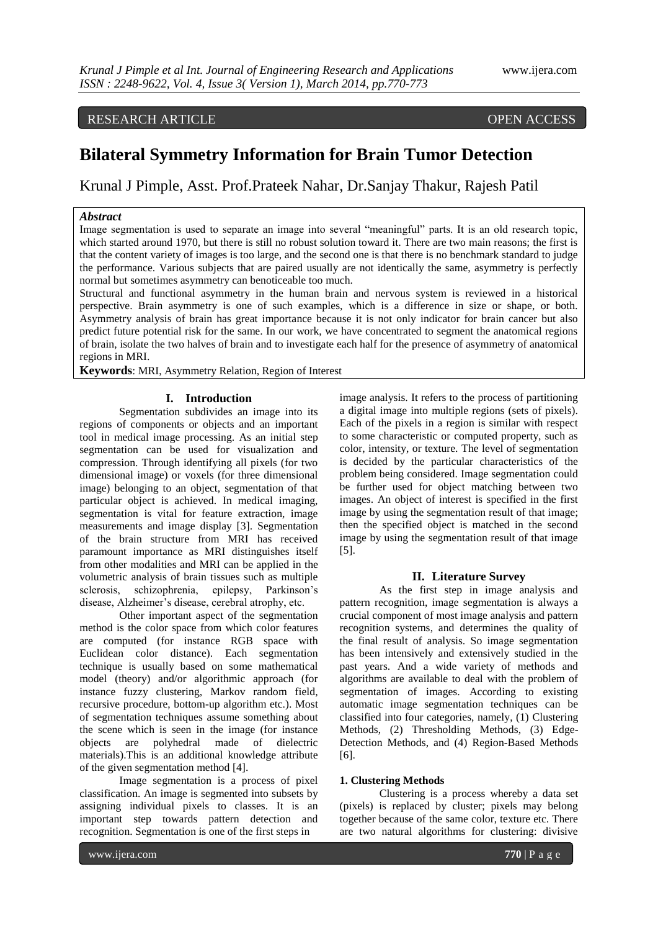# RESEARCH ARTICLE OPEN ACCESS

# **Bilateral Symmetry Information for Brain Tumor Detection**

Krunal J Pimple, Asst. Prof.Prateek Nahar, Dr.Sanjay Thakur, Rajesh Patil

# *Abstract*

Image segmentation is used to separate an image into several "meaningful" parts. It is an old research topic, which started around 1970, but there is still no robust solution toward it. There are two main reasons; the first is that the content variety of images is too large, and the second one is that there is no benchmark standard to judge the performance. Various subjects that are paired usually are not identically the same, asymmetry is perfectly normal but sometimes asymmetry can benoticeable too much.

Structural and functional asymmetry in the human brain and nervous system is reviewed in a historical perspective. Brain asymmetry is one of such examples, which is a difference in size or shape, or both. Asymmetry analysis of brain has great importance because it is not only indicator for brain cancer but also predict future potential risk for the same. In our work, we have concentrated to segment the anatomical regions of brain, isolate the two halves of brain and to investigate each half for the presence of asymmetry of anatomical regions in MRI.

**Keywords**: MRI, Asymmetry Relation, Region of Interest

#### **I. Introduction**

Segmentation subdivides an image into its regions of components or objects and an important tool in medical image processing. As an initial step segmentation can be used for visualization and compression. Through identifying all pixels (for two dimensional image) or voxels (for three dimensional image) belonging to an object, segmentation of that particular object is achieved. In medical imaging, segmentation is vital for feature extraction, image measurements and image display [3]. Segmentation of the brain structure from MRI has received paramount importance as MRI distinguishes itself from other modalities and MRI can be applied in the volumetric analysis of brain tissues such as multiple sclerosis, schizophrenia, epilepsy, Parkinson's disease, Alzheimer's disease, cerebral atrophy, etc.

Other important aspect of the segmentation method is the color space from which color features are computed (for instance RGB space with Euclidean color distance). Each segmentation technique is usually based on some mathematical model (theory) and/or algorithmic approach (for instance fuzzy clustering, Markov random field, recursive procedure, bottom-up algorithm etc.). Most of segmentation techniques assume something about the scene which is seen in the image (for instance objects are polyhedral made of dielectric materials).This is an additional knowledge attribute of the given segmentation method [4].

Image segmentation is a process of pixel classification. An image is segmented into subsets by assigning individual pixels to classes. It is an important step towards pattern detection and recognition. Segmentation is one of the first steps in

image analysis. It refers to the process of partitioning a digital image into multiple regions (sets of pixels). Each of the pixels in a region is similar with respect to some characteristic or computed property, such as color, intensity, or texture. The level of segmentation is decided by the particular characteristics of the problem being considered. Image segmentation could be further used for object matching between two images. An object of interest is specified in the first image by using the segmentation result of that image; then the specified object is matched in the second image by using the segmentation result of that image [5].

## **II. Literature Survey**

As the first step in image analysis and pattern recognition, image segmentation is always a crucial component of most image analysis and pattern recognition systems, and determines the quality of the final result of analysis. So image segmentation has been intensively and extensively studied in the past years. And a wide variety of methods and algorithms are available to deal with the problem of segmentation of images. According to existing automatic image segmentation techniques can be classified into four categories, namely, (1) Clustering Methods, (2) Thresholding Methods, (3) Edge-Detection Methods, and (4) Region-Based Methods [6].

#### **1. Clustering Methods**

Clustering is a process whereby a data set (pixels) is replaced by cluster; pixels may belong together because of the same color, texture etc. There are two natural algorithms for clustering: divisive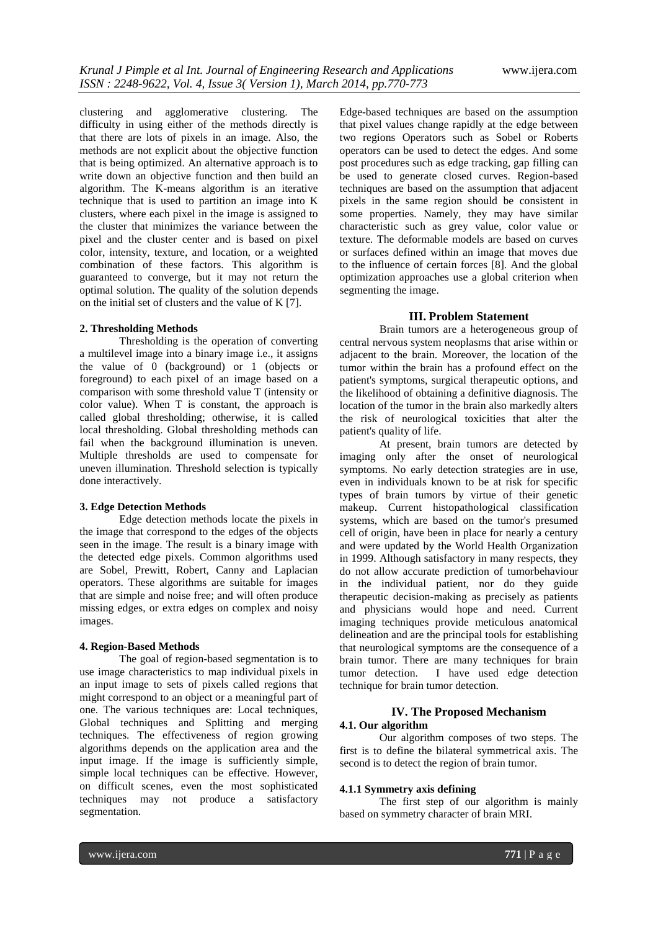clustering and agglomerative clustering. The difficulty in using either of the methods directly is that there are lots of pixels in an image. Also, the methods are not explicit about the objective function that is being optimized. An alternative approach is to write down an objective function and then build an algorithm. The K-means algorithm is an iterative technique that is used to partition an image into K clusters, where each pixel in the image is assigned to the cluster that minimizes the variance between the pixel and the cluster center and is based on pixel color, intensity, texture, and location, or a weighted combination of these factors. This algorithm is guaranteed to converge, but it may not return the optimal solution. The quality of the solution depends on the initial set of clusters and the value of K [7].

#### **2. Thresholding Methods**

Thresholding is the operation of converting a multilevel image into a binary image i.e., it assigns the value of 0 (background) or 1 (objects or foreground) to each pixel of an image based on a comparison with some threshold value T (intensity or color value). When T is constant, the approach is called global thresholding; otherwise, it is called local thresholding. Global thresholding methods can fail when the background illumination is uneven. Multiple thresholds are used to compensate for uneven illumination. Threshold selection is typically done interactively.

#### **3. Edge Detection Methods**

Edge detection methods locate the pixels in the image that correspond to the edges of the objects seen in the image. The result is a binary image with the detected edge pixels. Common algorithms used are Sobel, Prewitt, Robert, Canny and Laplacian operators. These algorithms are suitable for images that are simple and noise free; and will often produce missing edges, or extra edges on complex and noisy images.

#### **4. Region-Based Methods**

The goal of region-based segmentation is to use image characteristics to map individual pixels in an input image to sets of pixels called regions that might correspond to an object or a meaningful part of one. The various techniques are: Local techniques, Global techniques and Splitting and merging techniques. The effectiveness of region growing algorithms depends on the application area and the input image. If the image is sufficiently simple, simple local techniques can be effective. However, on difficult scenes, even the most sophisticated techniques may not produce a satisfactory segmentation.

Edge-based techniques are based on the assumption that pixel values change rapidly at the edge between two regions Operators such as Sobel or Roberts operators can be used to detect the edges. And some post procedures such as edge tracking, gap filling can be used to generate closed curves. Region-based techniques are based on the assumption that adjacent pixels in the same region should be consistent in some properties. Namely, they may have similar characteristic such as grey value, color value or texture. The deformable models are based on curves or surfaces defined within an image that moves due to the influence of certain forces [8]. And the global optimization approaches use a global criterion when segmenting the image.

# **III. Problem Statement**

Brain tumors are a heterogeneous group of central nervous system neoplasms that arise within or adjacent to the brain. Moreover, the location of the tumor within the brain has a profound effect on the patient's symptoms, surgical therapeutic options, and the likelihood of obtaining a definitive diagnosis. The location of the tumor in the brain also markedly alters the risk of neurological toxicities that alter the patient's quality of life.

At present, brain tumors are detected by imaging only after the onset of neurological symptoms. No early detection strategies are in use, even in individuals known to be at risk for specific types of brain tumors by virtue of their genetic makeup. Current histopathological classification systems, which are based on the tumor's presumed cell of origin, have been in place for nearly a century and were updated by the World Health Organization in 1999. Although satisfactory in many respects, they do not allow accurate prediction of tumorbehaviour in the individual patient, nor do they guide therapeutic decision-making as precisely as patients and physicians would hope and need. Current imaging techniques provide meticulous anatomical delineation and are the principal tools for establishing that neurological symptoms are the consequence of a brain tumor. There are many techniques for brain tumor detection. I have used edge detection technique for brain tumor detection.

# **IV. The Proposed Mechanism**

# **4.1. Our algorithm**

Our algorithm composes of two steps. The first is to define the bilateral symmetrical axis. The second is to detect the region of brain tumor.

# **4.1.1 Symmetry axis defining**

The first step of our algorithm is mainly based on symmetry character of brain MRI.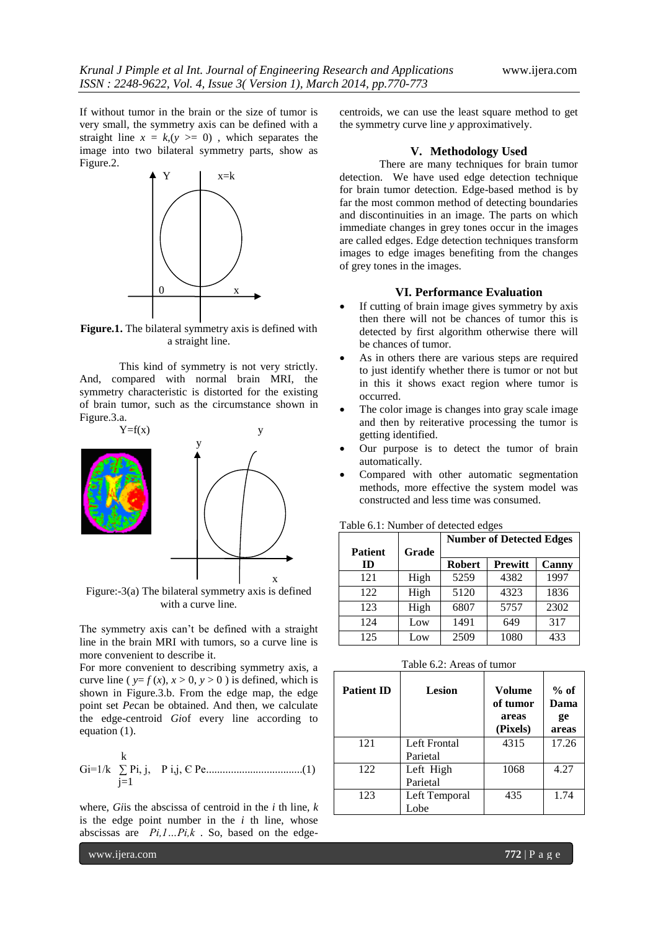If without tumor in the brain or the size of tumor is very small, the symmetry axis can be defined with a straight line  $x = k(y) = 0$ , which separates the image into two bilateral symmetry parts, show as Figure.2.



**Figure.1.** The bilateral symmetry axis is defined with a straight line.

This kind of symmetry is not very strictly. And, compared with normal brain MRI, the symmetry characteristic is distorted for the existing of brain tumor, such as the circumstance shown in Figure.3.a.



Figure:-3(a) The bilateral symmetry axis is defined with a curve line.

The symmetry axis can't be defined with a straight line in the brain MRI with tumors, so a curve line is more convenient to describe it.

For more convenient to describing symmetry axis, a curve line ( $y=f(x)$ ,  $x > 0$ ,  $y > 0$ ) is defined, which is shown in Figure.3.b. From the edge map, the edge point set *Pe*can be obtained. And then, we calculate the edge-centroid *Gi*of every line according to equation (1).

$$
Gi=1/k \sum_{j=1}^{k} Pi, j, \quad P i,j, \quad e. \quad P.e.
$$

where, *Gi*is the abscissa of centroid in the *i* th line, *k*  is the edge point number in the *i* th line, whose abscissas are *Pi,1…Pi,k* . So, based on the edgecentroids, we can use the least square method to get the symmetry curve line *y* approximatively.

#### **V. Methodology Used**

There are many techniques for brain tumor detection. We have used edge detection technique for brain tumor detection. Edge-based method is by far the most common method of detecting boundaries and discontinuities in an image. The parts on which immediate changes in grey tones occur in the images are called edges. Edge detection techniques transform images to edge images benefiting from the changes of grey tones in the images.

### **VI. Performance Evaluation**

- If cutting of brain image gives symmetry by axis then there will not be chances of tumor this is detected by first algorithm otherwise there will be chances of tumor.
- As in others there are various steps are required to just identify whether there is tumor or not but in this it shows exact region where tumor is occurred.
- The color image is changes into gray scale image and then by reiterative processing the tumor is getting identified.
- Our purpose is to detect the tumor of brain automatically.
- Compared with other automatic segmentation methods, more effective the system model was constructed and less time was consumed.

|                      |       | <b>Number of Detected Edges</b> |                |       |
|----------------------|-------|---------------------------------|----------------|-------|
| <b>Patient</b><br>ID | Grade | <b>Robert</b>                   | <b>Prewitt</b> | Canny |
| 121                  | High  | 5259                            | 4382           | 1997  |
| 122                  | High  | 5120                            | 4323           | 1836  |
| 123                  | High  | 6807                            | 5757           | 2302  |
| 124                  | Low   | 1491                            | 649            | 317   |
| 125                  | Low   | 2509                            | 1080           | 433   |

Table 6.1: Number of detected edges

|  |  | Table 6.2: Areas of tumor |  |  |
|--|--|---------------------------|--|--|
|--|--|---------------------------|--|--|

| <b>Patient ID</b> | <b>Lesion</b> | <b>Volume</b><br>of tumor<br>areas<br>(Pixels) | $%$ of<br>Dama<br>ge<br>areas |
|-------------------|---------------|------------------------------------------------|-------------------------------|
| 121               | Left Frontal  | 4315                                           | 17.26                         |
|                   | Parietal      |                                                |                               |
| 122               | Left High     | 1068                                           | 4.27                          |
|                   | Parietal      |                                                |                               |
| 123               | Left Temporal | 435                                            | 1.74                          |
|                   | Lobe          |                                                |                               |